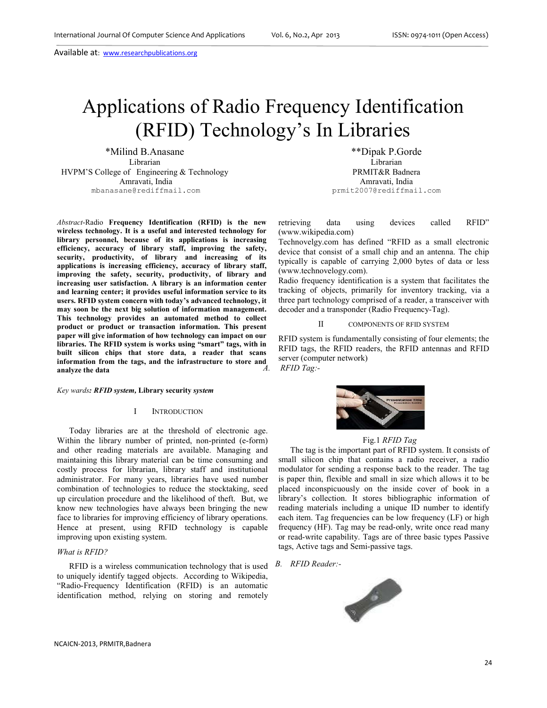Available at: www.researchpublications.org

# Applications of Radio Frequency Identification (RFID) Technology's In Libraries

\*Milind B.Anasane \*\*Dipak P.Gorde Librarian Librarian HVPM'S College of Engineering & Technology PRMIT&R Badnera Amravati, India Amravati, India mbanasane@rediffmail.com prmit2007@rediffmail.com

*Abstract*-Radio **Frequency Identification (RFID) is the new wireless technology. It is a useful and interested technology for library personnel, because of its applications is increasing efficiency, accuracy of library staff, improving the safety, security, productivity, of library and increasing of its applications is increasing efficiency, accuracy of library staff, improving the safety, security, productivity, of library and increasing user satisfaction. A library is an information center and learning center; it provides useful information service to its users. RFID system concern with today's advanced technology, it may soon be the next big solution of information management. This technology provides an automated method to collect product or product or transaction information. This present paper will give information of how technology can impact on our libraries. The RFID system is works using "smart" tags, with in built silicon chips that store data, a reader that scans information from the tags, and the infrastructure to store and analyze the data** 

#### *Key wards: RFID system,* **Library security** *system*

## I INTRODUCTION

Today libraries are at the threshold of electronic age. Within the library number of printed, non-printed (e-form) and other reading materials are available. Managing and maintaining this library material can be time consuming and costly process for librarian, library staff and institutional administrator. For many years, libraries have used number combination of technologies to reduce the stocktaking, seed up circulation procedure and the likelihood of theft. But, we know new technologies have always been bringing the new face to libraries for improving efficiency of library operations. Hence at present, using RFID technology is capable improving upon existing system.

## *What is RFID?*

RFID is a wireless communication technology that is used to uniquely identify tagged objects. According to Wikipedia, "Radio-Frequency Identification (RFID) is an automatic identification method, relying on storing and remotely

retrieving data using devices called RFID" (www.wikipedia.com)

Technovelgy.com has defined "RFID as a small electronic device that consist of a small chip and an antenna. The chip typically is capable of carrying 2,000 bytes of data or less (www.technovelogy.com).

Radio frequency identification is a system that facilitates the tracking of objects, primarily for inventory tracking, via a three part technology comprised of a reader, a transceiver with decoder and a transponder (Radio Frequency-Tag).

# II COMPONENTS OF RFID SYSTEM

RFID system is fundamentally consisting of four elements; the RFID tags, the RFID readers, the RFID antennas and RFID server (computer network) *A. RFID Tag:-* 





#### Fig.1 *RFID Tag*

The tag is the important part of RFID system. It consists of small silicon chip that contains a radio receiver, a radio modulator for sending a response back to the reader. The tag is paper thin, flexible and small in size which allows it to be placed inconspicuously on the inside cover of book in a library's collection. It stores bibliographic information of reading materials including a unique ID number to identify each item. Tag frequencies can be low frequency (LF) or high frequency (HF). Tag may be read-only, write once read many or read-write capability. Tags are of three basic types Passive tags, Active tags and Semi-passive tags.

*B. RFID Reader:-* 

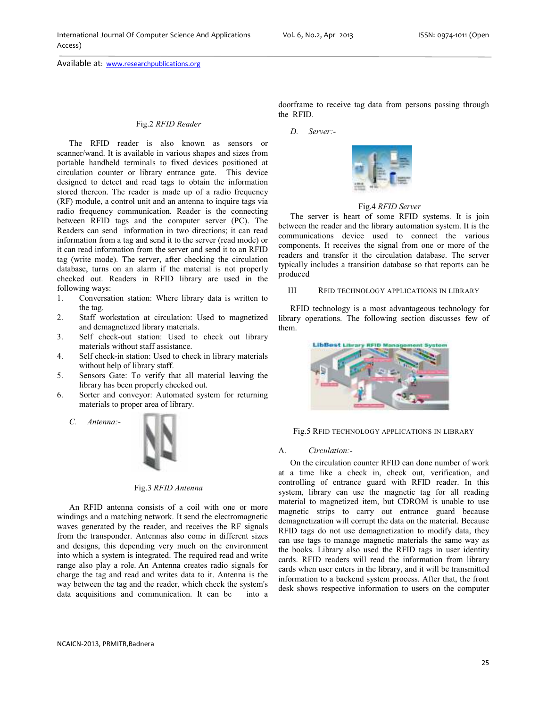# Fig.2 *RFID Reader*

The RFID reader is also known as sensors or scanner/wand. It is available in various shapes and sizes from portable handheld terminals to fixed devices positioned at circulation counter or library entrance gate. This device designed to detect and read tags to obtain the information stored thereon. The reader is made up of a radio frequency (RF) module, a control unit and an antenna to inquire tags via radio frequency communication. Reader is the connecting between RFID tags and the computer server (PC). The Readers can send information in two directions; it can read information from a tag and send it to the server (read mode) or it can read information from the server and send it to an RFID tag (write mode). The server, after checking the circulation database, turns on an alarm if the material is not properly checked out. Readers in RFID library are used in the following ways:

- 1. Conversation station: Where library data is written to the tag.
- 2. Staff workstation at circulation: Used to magnetized and demagnetized library materials.
- 3. Self check-out station: Used to check out library materials without staff assistance.
- 4. Self check-in station: Used to check in library materials without help of library staff.
- 5. Sensors Gate: To verify that all material leaving the library has been properly checked out.
- 6. Sorter and conveyor: Automated system for returning materials to proper area of library.
	- *C. Antenna:-*



## Fig.3 *RFID Antenna*

An RFID antenna consists of a coil with one or more windings and a matching network. It send the electromagnetic waves generated by the reader, and receives the RF signals from the transponder. Antennas also come in different sizes and designs, this depending very much on the environment into which a system is integrated. The required read and write range also play a role. An Antenna creates radio signals for charge the tag and read and writes data to it. Antenna is the way between the tag and the reader, which check the system's data acquisitions and communication. It can be into a

*D. Server:-* 



# Fig.4 *RFID Server*

The server is heart of some RFID systems. It is join between the reader and the library automation system. It is the communications device used to connect the various components. It receives the signal from one or more of the readers and transfer it the circulation database. The server typically includes a transition database so that reports can be produced

# III RFID TECHNOLOGY APPLICATIONS IN LIBRARY

RFID technology is a most advantageous technology for library operations. The following section discusses few of them.



Fig.5 RFID TECHNOLOGY APPLICATIONS IN LIBRARY

#### A. *Circulation:-*

On the circulation counter RFID can done number of work at a time like a check in, check out, verification, and controlling of entrance guard with RFID reader. In this system, library can use the magnetic tag for all reading material to magnetized item, but CDROM is unable to use magnetic strips to carry out entrance guard because demagnetization will corrupt the data on the material. Because RFID tags do not use demagnetization to modify data, they can use tags to manage magnetic materials the same way as the books. Library also used the RFID tags in user identity cards. RFID readers will read the information from library cards when user enters in the library, and it will be transmitted information to a backend system process. After that, the front desk shows respective information to users on the computer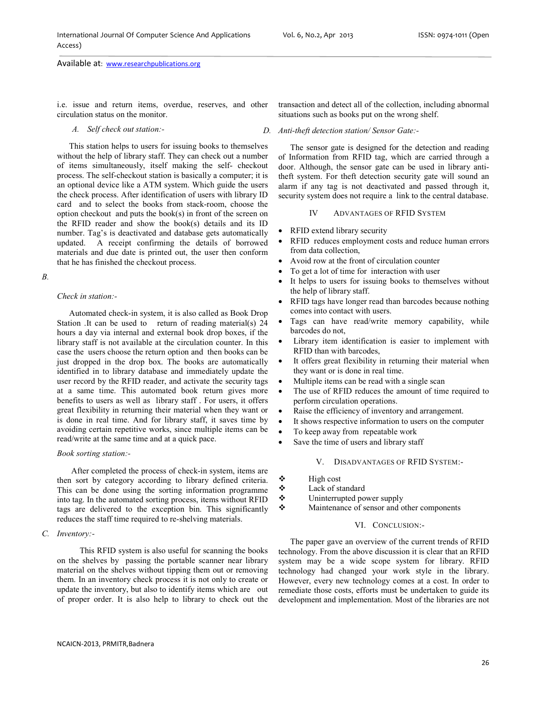Available at: www.researchpublications.org

i.e. issue and return items, overdue, reserves, and other circulation status on the monitor.

*A. Self check out station:-* 

This station helps to users for issuing books to themselves without the help of library staff. They can check out a number of items simultaneously, itself making the self- checkout process. The self-checkout station is basically a computer; it is an optional device like a ATM system. Which guide the users the check process. After identification of users with library ID card and to select the books from stack-room, choose the option checkout and puts the book(s) in front of the screen on the RFID reader and show the book(s) details and its ID number. Tag's is deactivated and database gets automatically updated. A receipt confirming the details of borrowed materials and due date is printed out, the user then conform that he has finished the checkout process.

## *B.*

# *Check in station:-*

Automated check-in system, it is also called as Book Drop Station .It can be used to return of reading material(s) 24 hours a day via internal and external book drop boxes, if the library staff is not available at the circulation counter. In this case the users choose the return option and then books can be just dropped in the drop box. The books are automatically identified in to library database and immediately update the user record by the RFID reader, and activate the security tags at a same time. This automated book return gives more benefits to users as well as library staff . For users, it offers great flexibility in returning their material when they want or is done in real time. And for library staff, it saves time by avoiding certain repetitive works, since multiple items can be read/write at the same time and at a quick pace.

# *Book sorting station:-*

 After completed the process of check-in system, items are then sort by category according to library defined criteria. This can be done using the sorting information programme into tag. In the automated sorting process, items without RFID tags are delivered to the exception bin. This significantly reduces the staff time required to re-shelving materials.

# *C. Inventory:-*

 This RFID system is also useful for scanning the books on the shelves by passing the portable scanner near library material on the shelves without tipping them out or removing them. In an inventory check process it is not only to create or update the inventory, but also to identify items which are out of proper order. It is also help to library to check out the

transaction and detect all of the collection, including abnormal situations such as books put on the wrong shelf.

## *D. Anti-theft detection station/ Sensor Gate:-*

The sensor gate is designed for the detection and reading of Information from RFID tag, which are carried through a door. Although, the sensor gate can be used in library antitheft system. For theft detection security gate will sound an alarm if any tag is not deactivated and passed through it, security system does not require a link to the central database.

# IV ADVANTAGES OF RFID SYSTEM

- RFID extend library security
- RFID reduces employment costs and reduce human errors from data collection,
- Avoid row at the front of circulation counter
- To get a lot of time for interaction with user
- It helps to users for issuing books to themselves without the help of library staff.
- RFID tags have longer read than barcodes because nothing comes into contact with users.
- Tags can have read/write memory capability, while barcodes do not,
- Library item identification is easier to implement with RFID than with barcodes,
- It offers great flexibility in returning their material when they want or is done in real time.
- Multiple items can be read with a single scan
- The use of RFID reduces the amount of time required to perform circulation operations.
- Raise the efficiency of inventory and arrangement.
- It shows respective information to users on the computer
- To keep away from repeatable work
- Save the time of users and library staff

# V. DISADVANTAGES OF RFID SYSTEM:-

- $\div$  High cost
- Lack of standard
- Uninterrupted power supply
- Maintenance of sensor and other components

# VI. CONCLUSION:-

The paper gave an overview of the current trends of RFID technology. From the above discussion it is clear that an RFID system may be a wide scope system for library. RFID technology had changed your work style in the library. However, every new technology comes at a cost. In order to remediate those costs, efforts must be undertaken to guide its development and implementation. Most of the libraries are not